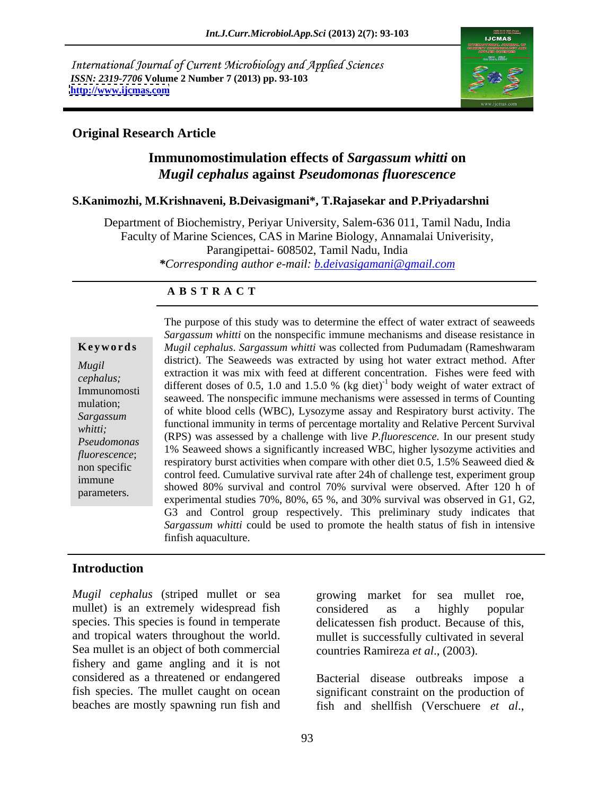International Journal of Current Microbiology and Applied Sciences *ISSN: 2319-7706* **Volume 2 Number 7 (2013) pp. 93-103 <http://www.ijcmas.com>**



# **Original Research Article**

# **Immunomostimulation effects of** *Sargassum whitti* **on**  *Mugil cephalus* **against** *Pseudomonas fluorescence*

### **S.Kanimozhi, M.Krishnaveni, B.Deivasigmani\*, T.Rajasekar and P.Priyadarshni**

Department of Biochemistry, Periyar University, Salem-636 011, Tamil Nadu, India Faculty of Marine Sciences, CAS in Marine Biology, Annamalai Univerisity, Parangipettai- 608502, Tamil Nadu, India *\*Corresponding author e-mail: b.deivasigamani@gmail.com*

### **A B S T R A C T**

whitti;<br>*Pseudomonas* (RPS) was assessed by a challenge with live *P.fluorescence*. In our present study **Ke ywo rds** *Mugil cephalus*. *Sargassum whitti* was collected from Pudumadam (Rameshwaram *Mugil* assured. The Seaweeds was extracted by using not water extract method. After extraction it was mix with feed at different concentration. Fishes were feed with *cephalus;*different doses of 0.5, 1.0 and 1.5.0 % (kg diet)<sup>-1</sup> body weight of water extract of Immunomosti<br>
seaweed. The nonspecific immune mechanisms were assessed in terms of Counting<br>
Immunomosti mulation;<br>Sancesum of white blood cells (WBC), Lysozyme assay and Respiratory burst activity. The *Sargassum*<br>
functional immunity in terms of percentage mortality and Relative Percent Survival *Pseudomonas* (KF3) was assessed by a chancige with live *F*, *juorescence*. In our present study *fluorescence*; 1% Seaweed shows a significantly increased WBC, higher lysozyme activities and <br>*fluorescence*; 1. a spin-term lysot estimate the same proposed in the of  $5, 1, 5\%$ . Second diad a non specific<br>
control feed. Cumulative survival rate after 24h of challenge test, experiment group immune<br>
showed 80% survival and control 70% survival were observed. After 120 h of parameters.<br>
experimental studies 70%, 80%, 65 %, and 30% survival was observed in G1, G2, The purpose of this study was to determine the effect of water extract of seaweeds *Sargassum whitti* on the nonspecific immune mechanisms and disease resistance in district). The Seaweeds was extracted by using hot water extract method. After respiratory burst activities when compare with other diet 0.5, 1.5% Seaweed died  $\&$ G3 and Control group respectively. This preliminary study indicates that *Sargassum whitti* could be used to promote the health status of fish in intensive finfish aquaculture.

# **Introduction**

*Mugil cephalus* (striped mullet or sea growing market for sea mullet roe, mullet) is an extremely widespread fish considered as a highly popular species. This species is found in temperate delicatessen fish product. Because of this, and tropical waters throughout the world. mullet is successfully cultivated in several Sea mullet is an object of both commercial fishery and game angling and it is not considered as a threatened or endangered Bacterial disease outbreaks impose a fish species. The mullet caught on ocean significant constraint on the production of

growing market for sea mullet roe, considered as a highly popular countries Ramireza *et al*., (2003).

beaches are mostly spawning run fish and fish and shellfish (Verschuere *et al*.,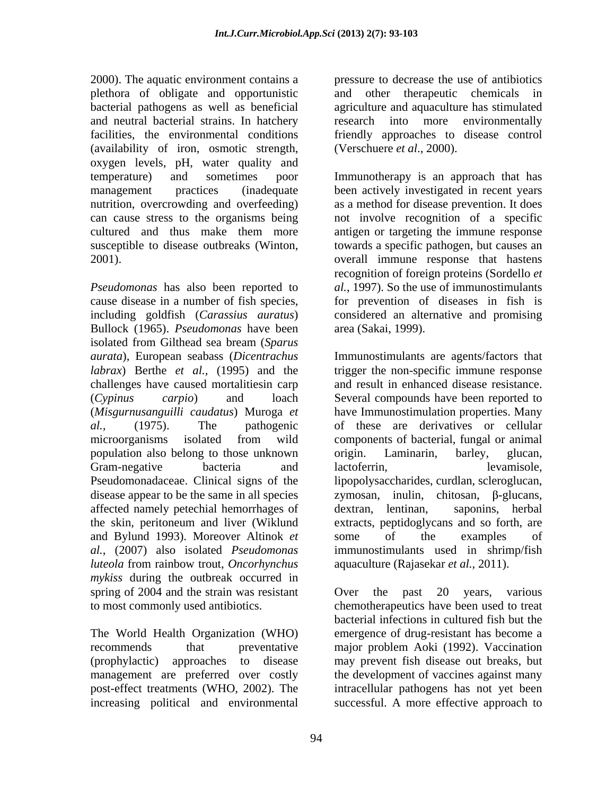2000). The aquatic environment contains a plethora of obligate and opportunistic bacterial pathogens as well as beneficial agriculture and aquaculture has stimulated and neutral bacterial strains. In hatchery facilities, the environmental conditions friendly approaches to disease control (availability of iron, osmotic strength, oxygen levels, pH, water quality and

*Pseudomonas* has also been reported to *al.*, 1997). So the use of immunostimulants cause disease in a number of fish species, for prevention of diseases in fish is including goldfish (*Carassius auratus*) considered an alternative and promising Bullock (1965). *Pseudomonas* have been isolated from Gilthead sea bream (*Sparus*  challenges have caused mortalitiesin carp population also belong to those unknown affected namely petechial hemorrhages of the skin, peritoneum and liver (Wiklund and Bylund 1993). Moreover Altinok *et luteola* from rainbow trout, *Oncorhynchus mykiss* during the outbreak occurred in spring of 2004 and the strain was resistant over the past 20 years, various to most commonly used antibiotics. chemotherapeutics have been used to treat

The World Health Organization (WHO)

pressure to decrease the use of antibiotics and other therapeutic chemicals in research into more environmentally (Verschuere *et al*., 2000).

temperature) and sometimes poor Immunotherapy is an approach that has management practices (inadequate been actively investigated in recent years nutrition, overcrowding and overfeeding) as a method for disease prevention. It does can cause stress to the organisms being not involve recognition of a specific cultured and thus make them more antigen or targeting the immune response susceptible to disease outbreaks (Winton, towards a specific pathogen, but causes an 2001). overall immune response that hastens recognition of foreign proteins (Sordello *et*  area (Sakai, 1999).

*aurata*), European seabass (*Dicentrachus*  Immunostimulants are agents/factors that *labrax*) Berthe *et al.,* (1995) and the trigger the non-specific immune response (*Cypinus carpio*) and loach Several compounds have been reported to (*Misgurnusanguilli caudatus*) Muroga *et*  have Immunostimulation properties. Many *al.,* (1975). The pathogenic of these are derivatives or cellular microorganisms isolated from wild components of bacterial, fungal or animal Gram-negative bacteria and lactoferrin, http://www.mate.com/evamisole. Pseudomonadaceae. Clinical signs of the lipopolysaccharides, curdlan, scleroglucan, disease appear to be the same in all species zymosan, inulin, chitosan,  $\beta$ -glucans, *al.*, (2007) also isolated *Pseudomonas*  immunostimulants used in shrimp/fish and result in enhanced disease resistance. origin. Laminarin, barley, glucan, lactoferrin, levamisole, saponins, herbal extracts, peptidoglycans and so forth, are some of the examples of aquaculture (Rajasekar *et al.,* 2011).

recommends that preventative major problem Aoki (1992). Vaccination (prophylactic) approaches to disease may prevent fish disease out breaks, but management are preferred over costly the development of vaccines against many post-effect treatments (WHO, 2002). The intracellular pathogens has not yet been increasing political and environmental successful. A more effective approach toOver the past 20 years, various bacterial infections in cultured fish but the emergence of drug-resistant has become a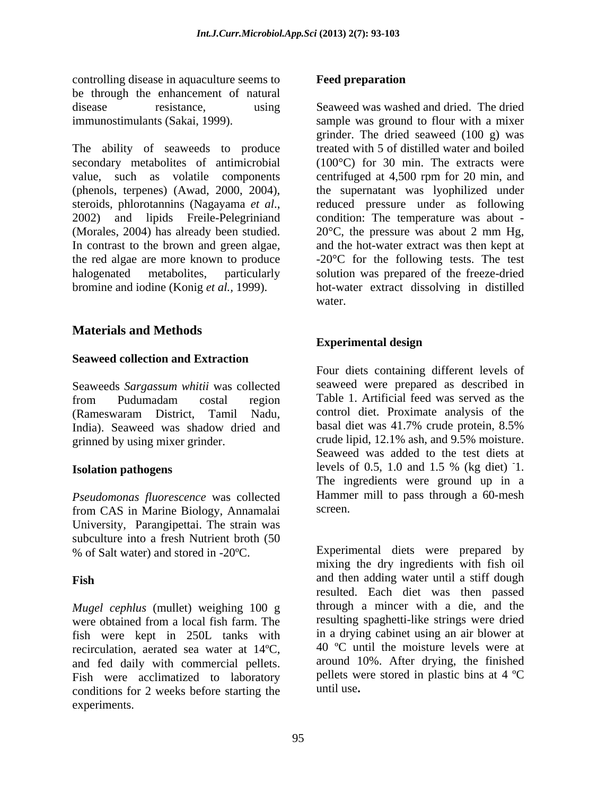controlling disease in aquaculture seems to be through the enhancement of natural

The ability of seaweeds to produce secondary metabolites of antimicrobial In contrast to the brown and green algae,

# **Materials and Methods**

# **Seaweed collection and Extraction**

Seaweeds *Sargassum whitii* was collected from Pudumadam costal region Table 1. Artificial feed was served as the (Rameswaram District, Tamil Nadu, India). Seaweed was shadow dried and basal diet was 41.7% crude protein, 8.5% grinned by using mixer grinder.

*Pseudomonas fluorescence* was collected **Hamme**<br> **From CAS** in Marine Biology Annamalai screen. from CAS in Marine Biology, Annamalai University, Parangipettai. The strain was subculture into a fresh Nutrient broth (50

*Mugel cephlus* (mullet) weighing 100 g were obtained from a local fish farm. The fish were kept in 250L tanks with recirculation, aerated sea water at 14ºC, and fed daily with commercial pellets. Fish were acclimatized to laboratory conditions for 2 weeks before starting the experiments.

# **Feed preparation**

disease resistance, using Seaweed was washed and dried. The dried immunostimulants (Sakai, 1999). sample was ground to flour with a mixer value, such as volatile components centrifuged at 4,500 rpm for 20 min, and (phenols, terpenes) (Awad, 2000, 2004), the supernatant was lyophilized under steroids, phlorotannins (Nagayama *et al.*, reduced pressure under as following 2002) and lipids Freile-Pelegriniand condition: The temperature was about -(Morales, 2004) has already been studied. 20°C, the pressure was about 2 mm Hg, the red algae are more known to produce -20°C for the following tests. The test halogenated metabolites, particularly solution was prepared of the freeze-dried bromine and iodine (Konig *et al.,* 1999). hot-water extract dissolving in distilled grinder. The dried seaweed (100 g) was treated with 5 of distilled water and boiled (100°C) for 30 min. The extracts were reduced pressure under as following condition: The temperature was about and the hot-water extract was then kept at water.

# **Experimental design**

**Isolation pathogens** levels of 0.5, 1.0 and 1.5 % (kg diet) 1. Four diets containing different levels of seaweed were prepared as described in Table 1. Artificial feed was served as the control diet. Proximate analysis of the basal diet was 41.7% crude protein, 8.5% crude lipid, 12.1% ash, and 9.5% moisture. Seaweed was added to the test diets at -1. The ingredients were ground up in a Hammer mill to pass through a 60-mesh screen.

% of Salt water) and stored in -20ºC. Experimental diets were prepared by **Fish** and then adding water until a stiff dough mixing the dry ingredients with fish oil resulted. Each diet was then passed through a mincer with a die, and the resulting spaghetti-like strings were dried in a drying cabinet using an air blower at 40 ºC until the moisture levels were at around 10%. After drying, the finished pellets were stored in plastic bins at 4 ºC until use**.**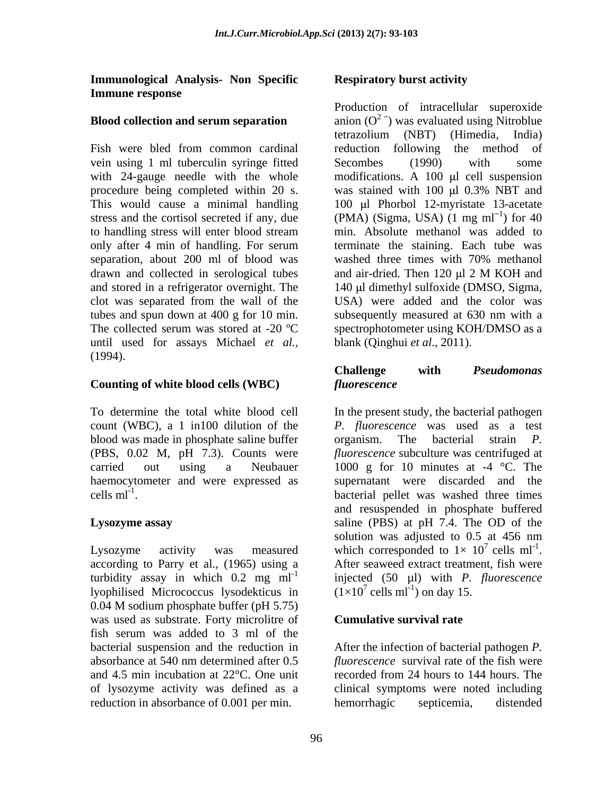**Immunological Analysis- Non Specific Immune response** 

vein using 1 ml tuberculin syringe fitted Secombes (1990) with some procedure being completed within 20 s. was stained with 100  $\mu$ l 0.3% NBT and stress and the cortisol secreted if any, due separation, about 200 ml of blood was washed three times with 70% methanol drawn and collected in serological tubes and air-dried. Then 120 ul 2 M KOH and until used for assays Michael *et al.,* (1994).

# **Counting of white blood cells (WBC)**

blood was made in phosphate saline buffer organism. The bacterial strain P. (PBS, 0.02 M, pH 7.3). Counts were cells  $ml^{-1}$ .

according to Parry et al., (1965) using a <br>After seaweed extract treatment, fish were lyophilised Micrococcus lysodekticus in 0.04 M sodium phosphate buffer (pH 5.75) was used as substrate. Forty microlitre of fish serum was added to 3 ml of the bacterial suspension and the reduction in After the infection of bacterial pathogen *P.*  absorbance at 540 nm determined after 0.5 *fluorescence* survival rate of the fish were and 4.5 min incubation at 22°C. One unit recorded from 24 hours to 144 hours. The of lysozyme activity was defined as a clinical symptoms were noted including reduction in absorbance of 0.001 per min.

# **Respiratory burst activity**

**Blood collection and serum separation**  $\text{a}$  anion  $(O^2)$  was evaluated using Nitroblue Fish were bled from common cardinal reduction following the method of with 24-gauge needle with the whole modifications. A 100  $\mu$ l cell suspension This would cause a minimal handling 100 µl Phorbol 12-myristate 13-acetate to handling stress will enter blood stream min. Absolute methanol was added to only after 4 min of handling. For serum terminate the staining. Each tube was and stored in a refrigerator overnight. The  $140 \mu$ l dimethyl sulfoxide (DMSO, Sigma, clot was separated from the wall of the USA) were added and the color was tubes and spun down at 400 g for 10 min. subsequently measured at 630 nm with a The collected serum was stored at -20 °C spectrophotometer using KOH/DMSO as a Production of intracellular superoxide tetrazolium (NBT) (Himedia, India) reduction following the method of Secombes (1990) with some was stained with  $100 \mu l$  0.3% NBT and  $(PMA)$  (Sigma, USA)  $(1 \text{ mg ml}^{-1})$  for 40 ) for 40 min. Absolute methanol was added to terminate the staining. Each tube was washed three times with 70% methanol and air-dried. Then 120 µl 2 M KOH and blank (Qinghui *et al*., 2011).

# **Challenge with** *Pseudomonas fluorescence*

To determine the total white blood cell In the present study, the bacterial pathogen count (WBC), a 1 in100 dilution of the *P. fluorescence* was used as a test carried out using a Neubauer 1000 g for 10 minutes at -4 °C. The haemocytometer and were expressed as supernatant were discarded and the  $\text{cells ml}^{-1}$ .  $\text{bacterial pellet was washed three times}$ **Lysozyme assay** saline (PBS) at pH 7.4. The OD of the Lysozyme activity was measured which corresponded to  $1 \times 10^{7}$  cells ml<sup>-1</sup>. turbidity assay in which  $0.2 \text{ mg ml}^{-1}$  injected  $(50 \text{ µl})$  with *P. fluorescence* organism. The bacterial strain *P. fluorescence* subculture was centrifuged at and resuspended in phosphate buffered solution was adjusted to 0.5 at 456 nm  $^7$  cells ml<sup>-1</sup>. which corresponded to  $1 \times 10^{7}$  cells ml<sup>-1</sup>.<br>After seaweed extract treatment, fish were  $(1\times10^7 \text{ cells ml}^{-1})$  on day 15. cells  $ml^{-1}$ ) on day 15. ) on day 15.

# **Cumulative survival rate**

hemorrhagic septicemia, distended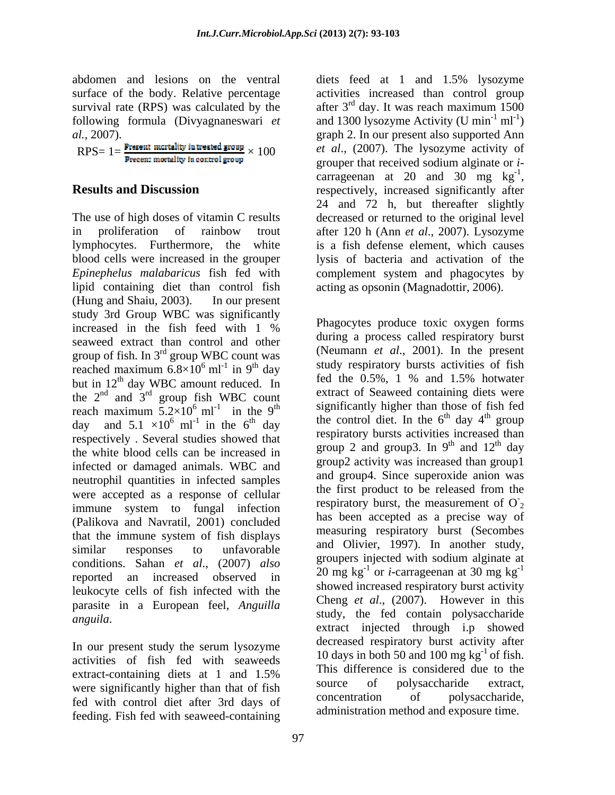abdomen and lesions on the ventral diets feed at 1 and 1.5% lysozyme

 $RPS = 1 = \frac{Present \text{ mortality in treated group}}{Present \text{ mortality in control group}} \times 100$ 

The use of high doses of vitamin C results decreased or returned to the original level in proliferation of rainbow trout after 120 h (Ann *et al*., 2007). Lysozyme lymphocytes. Furthermore, the white is a fish defense element, which causes blood cells were increased in the grouper lysis of bacteria and activation of the *Epinephelus malabaricus* fish fed with complement system and phagocytes by lipid containing diet than control fish (Hung and Shaiu*,* 2003). In our present study 3rd Group WBC was significantly increased in the fish feed with  $1\%$  Finagocytes produce toxic oxygen forms seaweed extract than control and other group of fish. In 3rd group WBC count was reached maximum  $6.8 \times 10^6$  ml<sup>-1</sup> in 9<sup>th</sup> day<br>but in 12<sup>th</sup> day hot in 12<sup>th</sup> day feel the 0.5%, 1 % and 1.5% hotwater but in  $12<sup>th</sup>$  day WBC amount reduced. In the  $2^{na}$  and  $3^{ra}$  group fish WBC count extract of seaweed containing diets were reach maximum  $5.2\times10^{6}$  ml<sup>-1</sup> in the 9<sup>th</sup> day and  $5.1 \times 10^6$  ml<sup>-1</sup> in the 6<sup>th</sup> day the control diet. In the 6<sup>th</sup> day 4<sup>th</sup> group respectively . Several studies showed that the white blood cells can be increased in infected or damaged animals. WBC and neutrophil quantities in infected samples were accepted as a response of cellular immune system to fungal infection (Palikova and Navratil, 2001) concluded that the immune system of fish displays similar responses to unfavorable  $\frac{dH}{dt}$  und  $\frac{dH}{dt}$  university and  $\frac{dH}{dt}$  is the state of the state of the state of the state of the state of the state of the state of the state of the state of the state of the conditions. Sahan *et al*., (2007) *also* reported an increased observed in  $\frac{20 \text{ m} \text{g}}{1}$  by  $\frac{1}{2}$  call agreement at 50 kg leukocyte cells of fish infected with the parasite in a European feel, *Anguilla anguila*. Sure peak is the study, the fed contain polysaccharide anguila.

In our present study the serum lysozyme activities of fish fed with seaweeds were significantly higher than that of fish<br>for anti-section of polysaccharide extract,<br>for with control dist of the 2rd days of concentration of polysaccharide, fed with control diet after 3rd days of feeding. Fish fed with seaweed-containing

surface of the body. Relative percentage activities increased than control group survival rate (RPS) was calculated by the  $\int$  after 3<sup>rd</sup> day. It was reach maximum 1500 following formula (Divyagnaneswari *et* and 1300 lysozyme Activity (U min<sup>-1</sup> ml<sup>-1</sup>) *al.,* 2007). graph 2. In our present also supported Ann **Results and Discussion** respectively, increased significantly after <sup>rd</sup> day. It was reach maximum 1500  $ml^{-1}$ )  $)$ *et al*., (2007). The lysozyme activity of grouper that received sodium alginate or *i* carrageenan at 20 and 30 mg  $kg^{-1}$ , -1 carrageenan at 20 and 30 mg  $kg^{-1}$ ,<br>respectively, increased significantly after 24 and 72 h, but thereafter slightly acting as opsonin (Magnadottir, 2006).

 $^{6}$  ml<sup>-1</sup> in 9<sup>th</sup> day study respiratory bursts activities of fish in  $9<sup>th</sup>$  day study respiratory bursts activities of fish <sup>th</sup> day WBC amount reduced. In the  $0.5\%$ , 1 % and 1.5% hotwater  $\frac{1}{n}$  and  $3^{rd}$  group fish WBC count extract of Seaweed containing diets were group fish WBC count exitation seaweed containing diets were  $^{6}$  ml<sup>-1</sup> in the 9<sup>th</sup> significantly higher than those of fish fed in the  $9<sup>th</sup>$  significantly higher than those of fish red  $\frac{d\mathbf{h}}{d\mathbf{a}}$  the control diet. In the  $6^{\text{th}}$  day  $4^{\text{th}}$  group extract-containing diets at 1 and 1.5% This difference is considered due to the Phagocytes produce toxic oxygen forms during a process called respiratory burst (Neumann *et al*., 2001). In the present fed the 0.5%, 1 % and 1.5% hotwater <sup>th</sup> day  $4^{\text{th}}$  group  $\frac{\text{th}}{\text{mean}}$ group **contract to the set of the set of the set of the set of the set of the set of the set of the set of the set of the set of the set of the set of the set of the set of the set of the set of the set of the set of the s** respiratory bursts activities increased than group 2 and group3. In  $9<sup>th</sup>$  and  $12<sup>th</sup>$  day  $th$  and  $12^{th}$  day and  $12<sup>th</sup>$  day <sup>th</sup> day group2 activity was increased than group1 and group4. Since superoxide anion was the first product to be released from the respiratory burst, the measurement of  $O<sub>2</sub>$  $\overline{2}$ has been accepted as a precise way of measuring respiratory burst (Secombes and Olivier, 1997). In another study, groupers injected with sodium alginate at  $20 \text{ mg kg}^{-1}$  or *i*-carrageenan at 30 mg kg<sup>-1</sup> -1 showed increased respiratory burst activity Cheng *et al*., (2007). However in this extract injected through i.p showed decreased respiratory burst activity after 10 days in both 50 and 100 mg  $kg^{-1}$  of fish. This difference is considered due to the source of polysaccharide extract, concentration of polysaccharide, administration method and exposure time.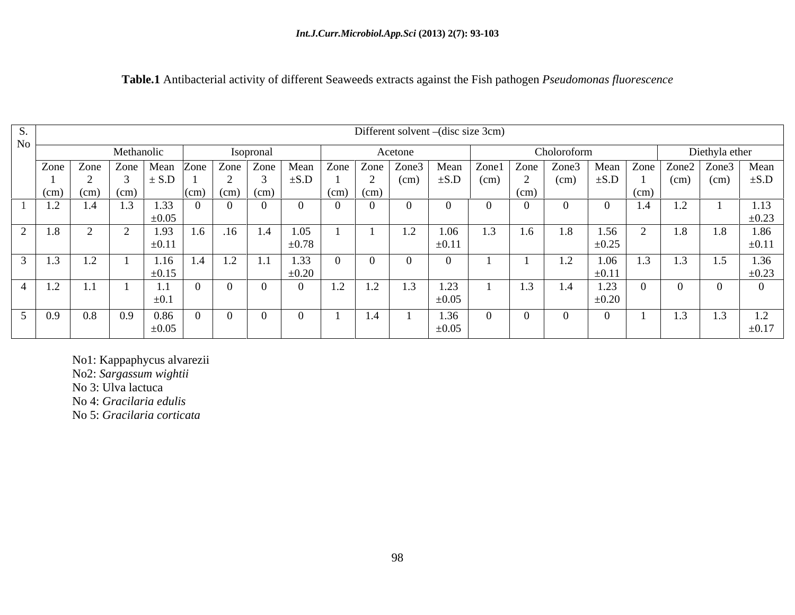|                                                                    | Different solvent – (disc size 3cm)     |             |                                                                                                                                                                                                                                |               |                                   |                                                 |     |              |                |      |                                      |                |
|--------------------------------------------------------------------|-----------------------------------------|-------------|--------------------------------------------------------------------------------------------------------------------------------------------------------------------------------------------------------------------------------|---------------|-----------------------------------|-------------------------------------------------|-----|--------------|----------------|------|--------------------------------------|----------------|
|                                                                    | Methanolic                              |             | Isoprona                                                                                                                                                                                                                       |               | Acetone                           |                                                 |     | Choloroform  |                |      | Diethyla ether                       |                |
|                                                                    |                                         |             | Zone   Zone   Zone   Mean   Zone   Zone   Zone   Mean   Zone   Zone   Zone3   Mean   Zone   Zone3   Mean   Zone   Zone3   Mean   Zone3   Mean   Zone3   Mean   Zone3   Mean   Zone3   Mean   Zone3   Mean   Zone3   Mean   Zon |               |                                   |                                                 |     |              |                |      |                                      |                |
|                                                                    |                                         | $\pm$ S.D   |                                                                                                                                                                                                                                | $\pm$ S.D     |                                   | $\vert$ (cm) $\vert \pm S.D \vert$ (cm) $\vert$ |     | (cm)         | $\pm$ S.D   1  |      | $\vert$ (cm) $\vert$ (cm) $\vert$    | $\pm$ S.D      |
|                                                                    | $(cm)$ $(cm)$ $(cm)$                    |             | $(Cm)$ $(Cm)$ $(Cm)$                                                                                                                                                                                                           | $(cm)$ $(cm)$ |                                   |                                                 |     | (CIII)       |                | (cm) |                                      |                |
|                                                                    | $1.2$ 1.4 1.3                           | 1.33        |                                                                                                                                                                                                                                |               |                                   |                                                 |     |              |                | 1.4  | $\mathbf{1.4}$                       | 1.19           |
|                                                                    |                                         | $\pm 0.05$  |                                                                                                                                                                                                                                |               |                                   |                                                 |     |              |                |      |                                      | $\pm 0.23$     |
| $\begin{array}{ c c c c c } \hline 1.8 & 2 \\ \hline \end{array}$  |                                         |             | $1.93$ 1.6 1.6 1.4 1.05                                                                                                                                                                                                        |               |                                   | 1.06<br>1.2                                     | 1.3 | 1.8<br>1.6   | $\boxed{1.56}$ |      | 1.8<br>1.8                           | 1.86           |
|                                                                    |                                         | $\pm 0.11$  |                                                                                                                                                                                                                                | $\pm 0.78$    |                                   | $\pm 0.11$                                      |     |              | $\pm 0.25$     |      |                                      | $-0.11$        |
|                                                                    | $\boxed{1.3}$ $\boxed{1.2}$ $\boxed{1}$ | 1.16<br>1.4 | $1.1$ 1.33<br>$\overline{1}$<br>$\mathbf{1} \cdot \mathbf{2}$                                                                                                                                                                  |               |                                   | $\sqrt{ }$                                      |     | 1.2          | 1.06           | 1.3  | 1.5                                  | 1.36           |
|                                                                    |                                         | $+0.15$     |                                                                                                                                                                                                                                | $\pm 0.20$    |                                   |                                                 |     |              | $\pm 0.11$     |      |                                      |                |
| $1.2$ 1.1                                                          |                                         | 1.1         |                                                                                                                                                                                                                                | $\perp$ .     | $\blacksquare$ . $\blacktriangle$ | 1.23<br>1.3                                     |     | 1.4<br>- 1.9 | 1.23           |      |                                      |                |
|                                                                    |                                         | ±0.⊥        |                                                                                                                                                                                                                                |               |                                   | $\pm 0.05$                                      |     |              | $\pm 0.20$     |      |                                      |                |
| $\begin{array}{ c c c c c } \hline 0.9 & 0.8 \ \hline \end{array}$ | 0.9                                     | 0.86        |                                                                                                                                                                                                                                |               | 1.4                               | 1.36                                            |     |              |                |      |                                      | $\overline{1}$ |
|                                                                    |                                         | $\pm 0.05$  |                                                                                                                                                                                                                                |               |                                   | $\pm 0.05$                                      |     |              |                |      | 1.3<br>$\mathbf{1} \cdot \mathbf{3}$ | 1.2            |
|                                                                    |                                         |             |                                                                                                                                                                                                                                |               |                                   |                                                 |     |              |                |      |                                      |                |

# **Table.1** Antibacterial activity of different Seaweeds extracts against the Fish pathogen *Pseudomonas fluorescence*

No1: Kappaphycus alvarezii

No2: *Sargassum wightii*

No 3: Ulva lactuca

No 4: *Gracilaria edulis*

No 5: *Gracilaria corticata*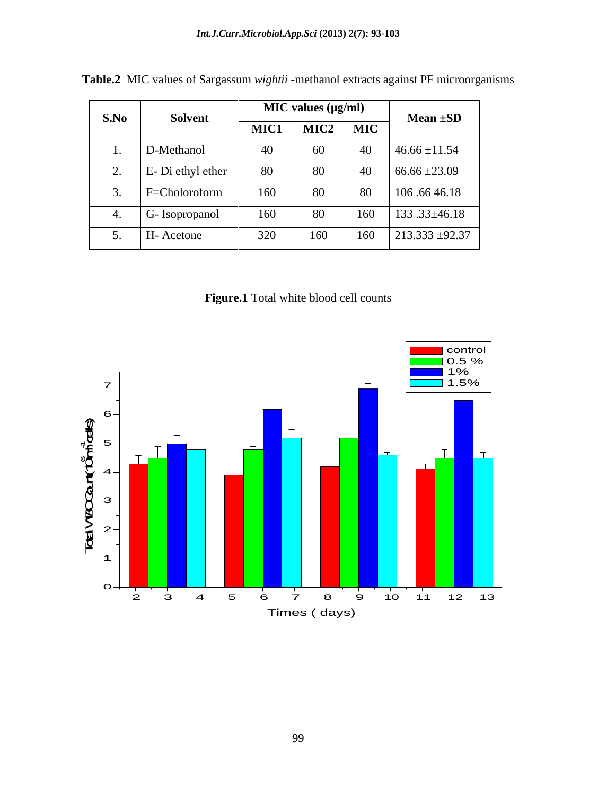| S.No |                                 |      | $MIC$ values ( $\mu g/ml$ ) |                                    | Mean $\pm SD$      |  |
|------|---------------------------------|------|-----------------------------|------------------------------------|--------------------|--|
|      | Solvent                         | MIC1 | $\overline{\text{MIC2}}$    | $\overline{\cdot \mid \text{MIC}}$ |                    |  |
|      | D-Methanol                      | 40   | 60                          | 40                                 | $46.66 \pm 11.54$  |  |
|      | E- Di ethyl ether               | 80   | 80                          | 40                                 | $66.66 \pm 23.09$  |  |
|      | F=Choloroform                   | 160  | 80                          | 80                                 | 106 .66 46.18      |  |
|      | $\sim$ $\sim$<br>G- Isopropanol | 160  | 80                          | 160                                | $133.33 \pm 46.18$ |  |
|      | H- Acetone                      | 320  | 160                         | 160                                | $213.333 + 92.37$  |  |

**Table.2** MIC values of Sargassum *wightii* -methanol extracts against PF microorganisms

**Figure.1** Total white blood cell counts

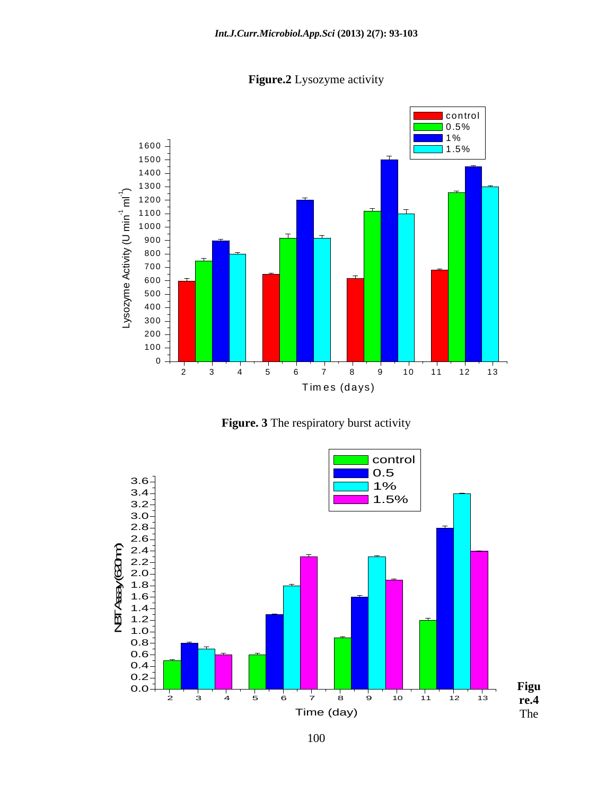

**Figure.2** Lysozyme activity



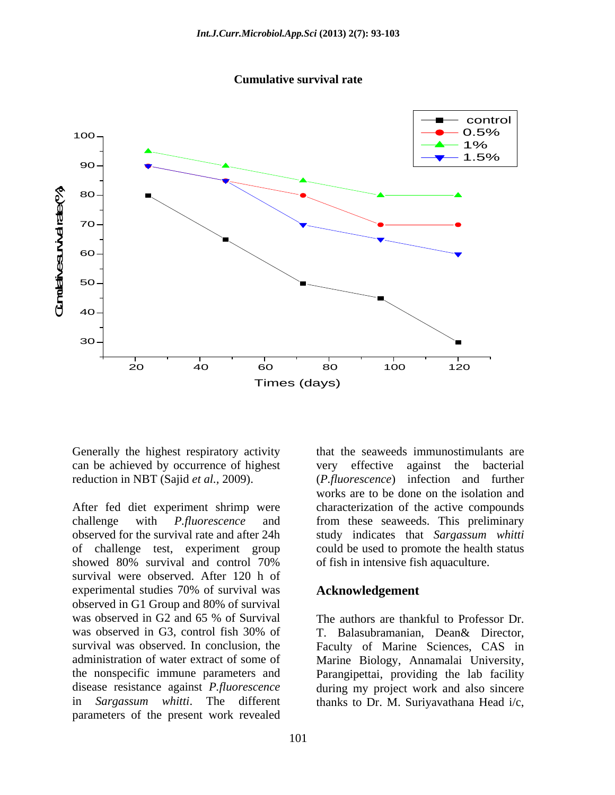



Generally the highest respiratory activity can be achieved by occurrence of highest reduction in NBT (Sajid *et al.,* 2009).

showed 80% survival and control 70% of fish in intensive fish aquaculture. survival were observed. After 120 h of experimental studies 70% of survival was observed in G1 Group and 80% of survival was observed in G2 and 65 % of Survival The authors are thankful to Professor Dr. was observed in G3, control fish 30% of T. Balasubramanian, Dean& Director, survival was observed. In conclusion, the Faculty of Marine Sciences, CAS in administration of water extract of some of Marine Biology, Annamalai University, the nonspecific immune parameters and Parangipettai, providing the lab facility disease resistance against *P.fluorescence* during my project work and also sincere in *Sargassum whitti*. The different thanks to Dr. M. Suriyavathana Head i/c, parameters of the present work revealed thanks to Dr. M. Suriyavathana Head i/c, <sup>20</sup> <sup>40</sup> <sup>60</sup> <sup>80</sup> <sup>100</sup> <sup>120</sup>

After fed diet experiment shrimp were characterization of the active compounds challenge with *P.fluorescence* and from these seaweeds. This preliminary observed for the survival rate and after 24h study indicates that *Sargassum whitti* of challenge test, experiment group could be used to promote the health status that the seaweeds immunostimulants are against the bacterial (*P.fluorescence*) infection and further works are to be done on the isolation and of fish in intensive fish aquaculture.

### **Acknowledgement**

The authors are thankful to Professor Dr. T. Balasubramanian, Dean& Director,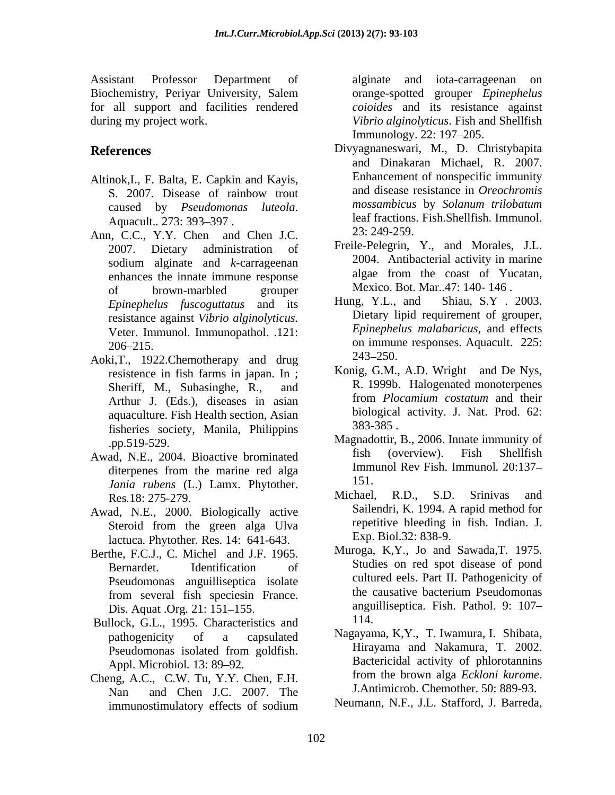Assistant Professor Department of Biochemistry, Periyar University, Salem for all support and facilities rendered during my project work. *Vibrio alginolyticus*. Fish and Shellfish

- Altinok,I., F. Balta, E. Capkin and Kayis,
- Ann, C.C., Y.Y. Chen and Chen J.C. 23: 249-259. enhances the innate immune response of brown-marbled grouper Mexico. Bot. Mar..4/: 140-146. Veter. Immunol. Immunopathol. .121:
- Aoki, T., 1922. Chemotherapy and drug 243–250. resistence in fish farms in japan. In ; Sheriff, M., Subasinghe, R., and Arthur J. (Eds.), diseases in asian aquaculture. Fish Health section, Asian biological<br>fisheries society Manila Philippins 383-385. fisheries society, Manila, Philippins
- *Jania rubens* (L.) Lamx. Phytother. 151.<br>Res 18: 275, 279 Res*.*18: 275-279.
- Awad, N.E., 2000. Biologically active
- Berthe, F.C.J., C. Michel and J.F. 1965. Muroga, K.Y., Jo and Sawada, I. 1975.<br>Bernardet Lentification of Studies on red spot disease of pond from several fish speciesin France. Dis. Aquat .Org. 21: 151–155. angu<br>
llock G.L. 1995. Characteristics and 114.
- Bullock, G.L., 1995. Characteristics and
- Cheng, A.C., C.W. Tu, Y.Y. Chen, F.H. from the brown alga *Eckloni kurome*<br>Nangle and Chen LC 2007. The J.Antimicrob. Chemother. 50: 889-93. Nan and Chen J.C. 2007. The immunostimulatory effects of sodium Meumann, N.F., J.L. Stafford, J. Barreda,

alginate and iota-carrageenan on orange-spotted grouper *Epinephelus coioides* and its resistance against Immunology. 22: 197–205.

- **References** Divyagnaneswari, M., D. Christybapita S. 2007. Disease of rainbow trout and disease resistance in *Oreochromis* caused by *Pseudomonas luteola*. Mossambicus by Solanum trilobatum<br>Aquacult.. 273: 393–397 . Aquacult.. 273: 393–397 and Dinakaran Michael, R. 2007. Enhancement of nonspecific immunity and disease resistance in *Oreochromis mossambicus* by *Solanum trilobatum* leaf fractions. Fish.Shellfish. Immunol.
	- 2007. Dietary administration of Freile-Pelegrin, Y., and Morales, J.L. sodium alginate and *k*-carrageenan<br>enhances the innate immune response algae from the coast of Yucatan, Freile-Pelegrin, Y., and Morales, J.L. 2004. Antibacterial activity in marine algae from the coast of Yucatan, Mexico. Bot. Mar..47: 140- 146 .
	- *Epinephelus fuscoguttatus* and its resistance against *Vibrio alginolyticus*. Dietary lipid requirement of grouper, 206 215. on immune responses. Aquacult. 225: Hung, Y.L., and Shiau, S.Y . 2003. Dietary lipid requirement of grouper, *Epinephelus malabaricus,* and effects 243–250.
		- Konig, G.M., A.D. Wright and De Nys, R. 1999b. Halogenated monoterpenes from *Plocamium costatum* and their biological activity. J. Nat. Prod. 62: 383-385 .
- .pp.519-529. Magnadottir, B., 2006. Innate immunity of Awad, N.E., 2004. Bioactive brominated fish (overview). Fish Shellfish diterpenes from the marine red alga **Immunol Rev** Fish. Immunol. 20:13/fish (overview). Fish Shellfish Immunol Rev Fish. Immunol*.* 20:137 151.
	- Steroid from the green alga Ulva **Exercitude Executive bleeding** in fish. Indian. J. Michael, R.D., S.D. Srinivas and Sailendri, K. 1994. A rapid method for repetitive bleeding in fish. Indian. J. Exp. Biol.32: 838-9.
	- lactuca*.* Phytother*.* Res*.* 14: 641-643. Bernardet. Identification of Studies on red spot disease of pond Pseudomonas anguilliseptica isolate cultured eels. Part II. Pathogenicity of<br>
	from sovered fish species France the causative bacterium Pseudomonas Muroga, K,Y., Jo and Sawada,T. 1975. Studies on red spot disease of pond cultured eels. Part II. Pathogenicity of the causative bacterium Pseudomonas anguilliseptica. Fish. Pathol. 9: 107 114.
	- pathogenicity of a capsulated Nagayama, K,Y., T. Iwamura, I. Shibata, Pseudomonas isolated from goldfish. Hirayama and Nakamura, I. 2002. Appl. Microbiol. 13: 89–92.<br> **Bactericidal activity of phlorotannins**<br> **Bactericidal activity of phlorotannins**<br> **From the brown alga** *Eckloni kurome***.** Hirayama and Nakamura, T. 2002. Bactericidal activity of phlorotannins from the brown alga *Eckloni kurome*. J.Antimicrob. Chemother. 50: 889-93.
		- Neumann, N.F., J.L. Stafford, J. Barreda,